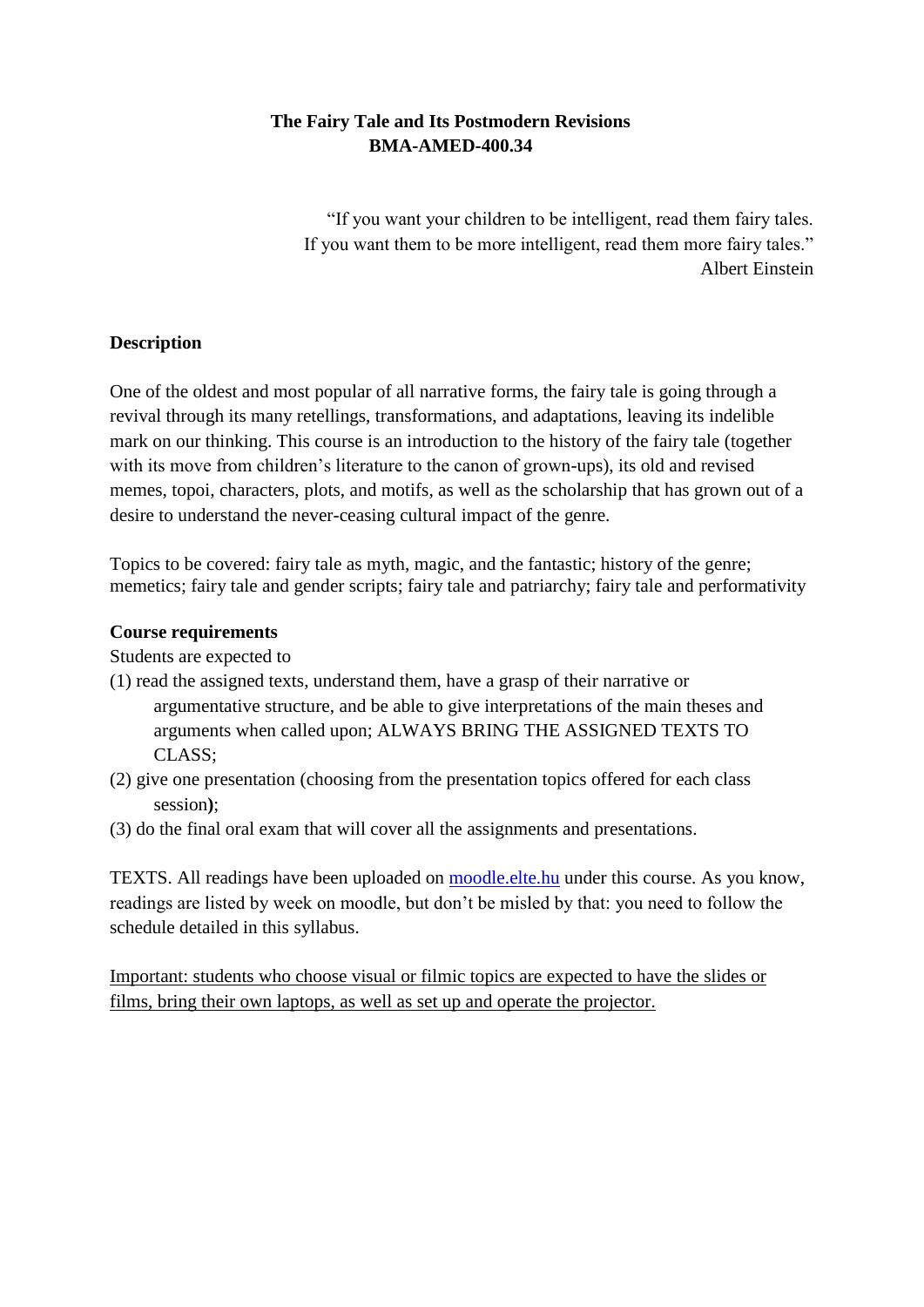# **The Fairy Tale and Its Postmodern Revisions BMA-AMED-400.34**

"If you want your children to be intelligent, read them fairy tales. If you want them to be more intelligent, read them more fairy tales." Albert Einstein

## **Description**

One of the oldest and most popular of all narrative forms, the fairy tale is going through a revival through its many retellings, transformations, and adaptations, leaving its indelible mark on our thinking. This course is an introduction to the history of the fairy tale (together with its move from children's literature to the canon of grown-ups), its old and revised memes, topoi, characters, plots, and motifs, as well as the scholarship that has grown out of a desire to understand the never-ceasing cultural impact of the genre.

Topics to be covered: fairy tale as myth, magic, and the fantastic; history of the genre; memetics; fairy tale and gender scripts; fairy tale and patriarchy; fairy tale and performativity

## **Course requirements**

Students are expected to

- (1) read the assigned texts, understand them, have a grasp of their narrative or argumentative structure, and be able to give interpretations of the main theses and arguments when called upon; ALWAYS BRING THE ASSIGNED TEXTS TO CLASS;
- (2) give one presentation (choosing from the presentation topics offered for each class session**)**;
- (3) do the final oral exam that will cover all the assignments and presentations.

TEXTS. All readings have been uploaded on moodle.elte.hu under this course. As you know, readings are listed by week on moodle, but don't be misled by that: you need to follow the schedule detailed in this syllabus.

Important: students who choose visual or filmic topics are expected to have the slides or films, bring their own laptops, as well as set up and operate the projector.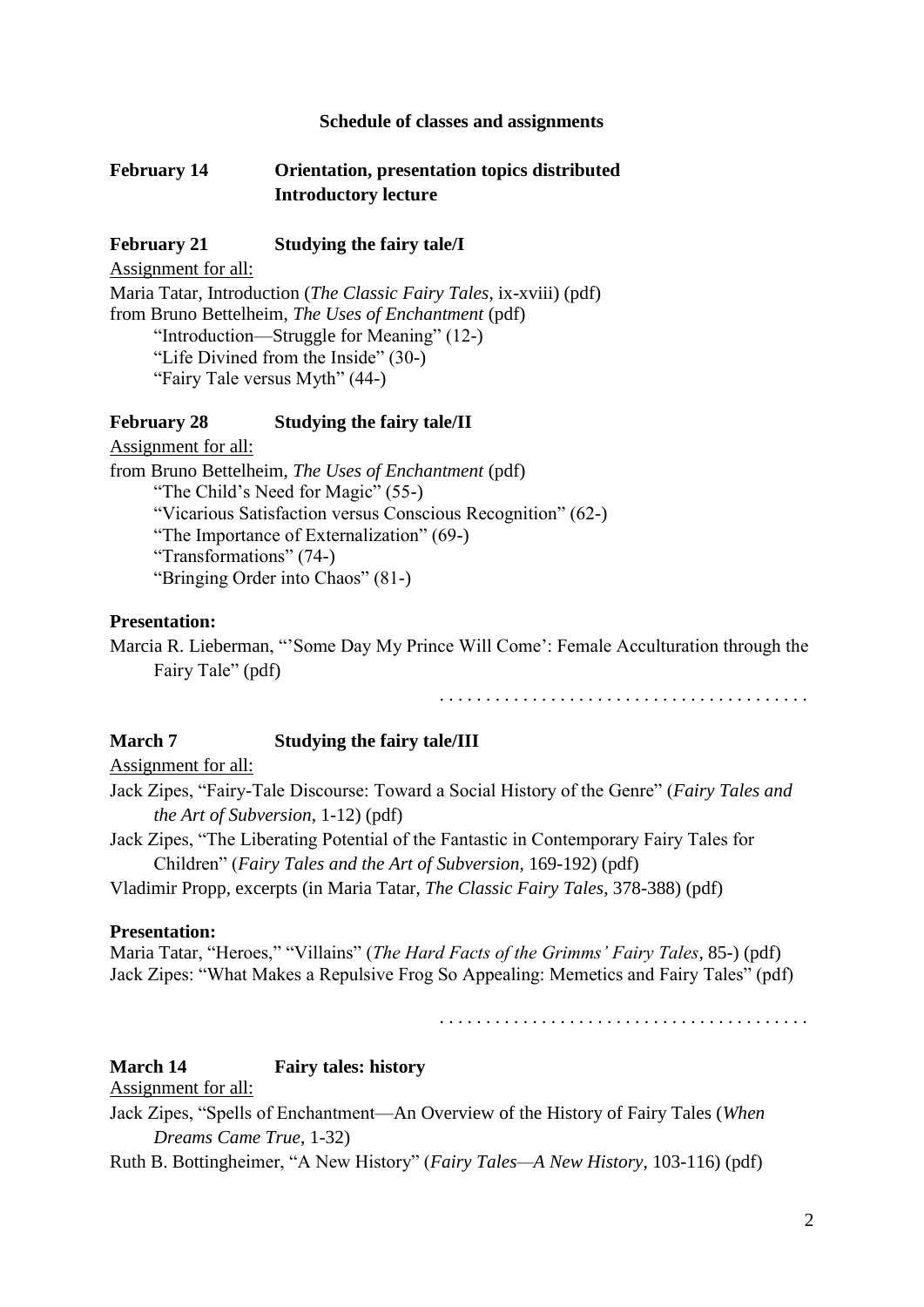#### **Schedule of classes and assignments**

### **February 14 Orientation, presentation topics distributed Introductory lecture**

### **February 21 Studying the fairy tale/I**

Assignment for all: Maria Tatar, Introduction (*The Classic Fairy Tales*, ix-xviii) (pdf) from Bruno Bettelheim, *The Uses of Enchantment* (pdf) "Introduction—Struggle for Meaning" (12-) "Life Divined from the Inside" (30-) "Fairy Tale versus Myth" (44-)

#### **February 28 Studying the fairy tale/II**

Assignment for all: from Bruno Bettelheim, *The Uses of Enchantment* (pdf) "The Child's Need for Magic" (55-) "Vicarious Satisfaction versus Conscious Recognition" (62-) "The Importance of Externalization" (69-) "Transformations" (74-) "Bringing Order into Chaos" (81-)

#### **Presentation:**

Marcia R. Lieberman, "'Some Day My Prince Will Come': Female Acculturation through the Fairy Tale" (pdf)

. . . . . . . . . . . . . . . . . . . . . . . . . . . . . . . . . . . . . . . .

### **March 7 Studying the fairy tale/III**

Assignment for all:

Jack Zipes, "Fairy-Tale Discourse: Toward a Social History of the Genre" (*Fairy Tales and the Art of Subversion*, 1-12) (pdf)

Jack Zipes, "The Liberating Potential of the Fantastic in Contemporary Fairy Tales for Children" (*Fairy Tales and the Art of Subversion*, 169-192) (pdf)

Vladimir Propp, excerpts (in Maria Tatar, *The Classic Fairy Tales*, 378-388) (pdf)

#### **Presentation:**

Maria Tatar, "Heroes," "Villains" (*The Hard Facts of the Grimms' Fairy Tales*, 85-) (pdf) Jack Zipes: "What Makes a Repulsive Frog So Appealing: Memetics and Fairy Tales" (pdf)

. . . . . . . . . . . . . . . . . . . . . . . . . . . . . . . . . . . . . . . .

### **March 14 Fairy tales: history**

### Assignment for all:

Jack Zipes, "Spells of Enchantment—An Overview of the History of Fairy Tales (*When Dreams Came True*, 1-32)

Ruth B. Bottingheimer, "A New History" (*Fairy Tales—A New History*, 103-116) (pdf)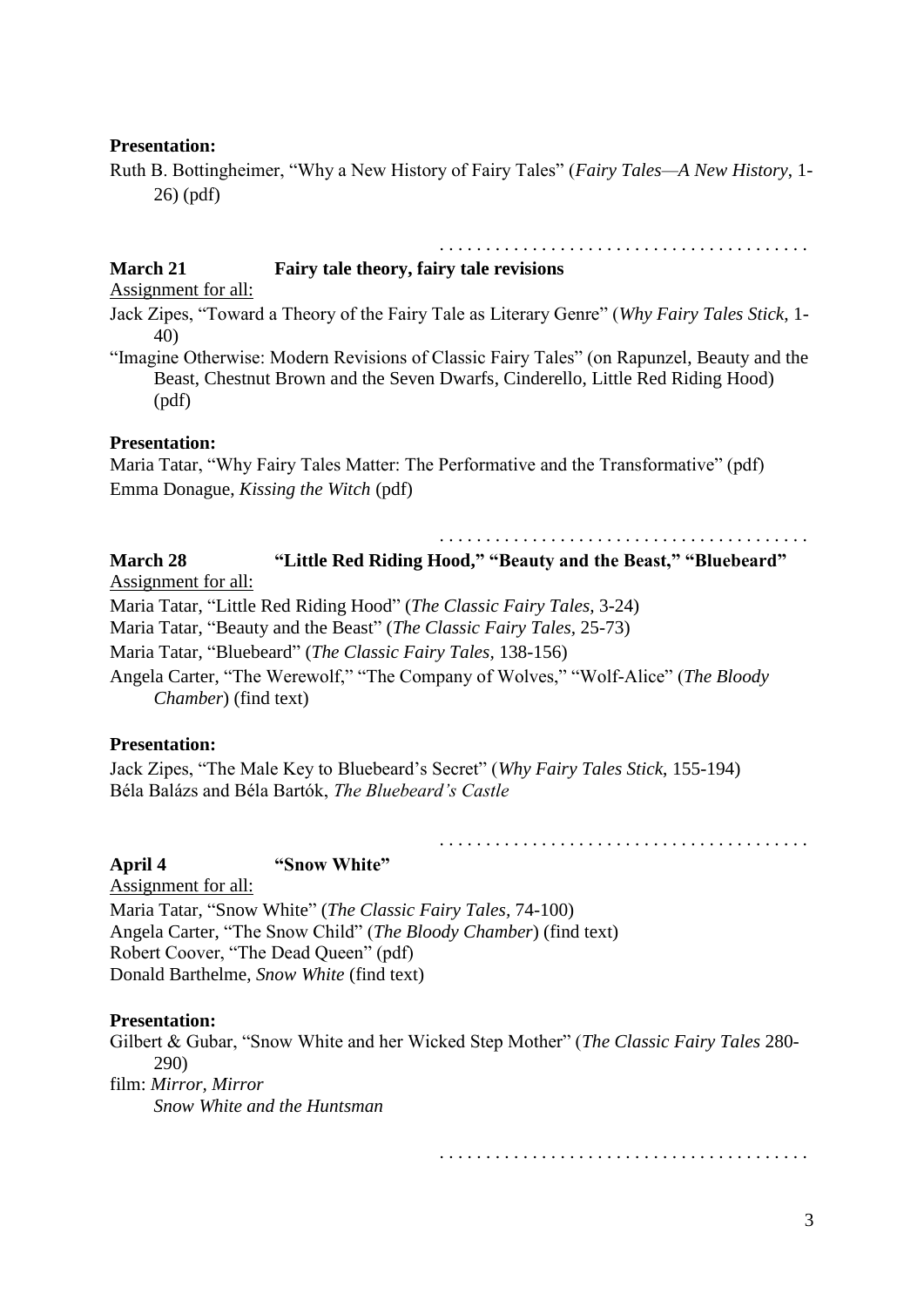### **Presentation:**

Ruth B. Bottingheimer, "Why a New History of Fairy Tales" (*Fairy Tales—A New History*, 1- 26) (pdf)

## **March 21 Fairy tale theory, fairy tale revisions**

Assignment for all:

Jack Zipes, "Toward a Theory of the Fairy Tale as Literary Genre" (*Why Fairy Tales Stick*, 1- 40)

"Imagine Otherwise: Modern Revisions of Classic Fairy Tales" (on Rapunzel, Beauty and the Beast, Chestnut Brown and the Seven Dwarfs, Cinderello, Little Red Riding Hood) (pdf)

### **Presentation:**

Maria Tatar, "Why Fairy Tales Matter: The Performative and the Transformative" (pdf) Emma Donague, *Kissing the Witch* (pdf)

. . . . . . . . . . . . . . . . . . . . . . . . . . . . . . . . . . . . . . . .

. . . . . . . . . . . . . . . . . . . . . . . . . . . . . . . . . . . . . . . .

**March 28 "Little Red Riding Hood," "Beauty and the Beast," "Bluebeard"** Assignment for all:

Maria Tatar, "Little Red Riding Hood" (*The Classic Fairy Tales,* 3-24)

Maria Tatar, "Beauty and the Beast" (*The Classic Fairy Tales,* 25-73)

Maria Tatar, "Bluebeard" (*The Classic Fairy Tales,* 138-156)

Angela Carter, "The Werewolf," "The Company of Wolves," "Wolf-Alice" (*The Bloody Chamber*) (find text)

## **Presentation:**

Jack Zipes, "The Male Key to Bluebeard's Secret" (*Why Fairy Tales Stick*, 155-194) Béla Balázs and Béla Bartók, *The Bluebeard's Castle*

## **April 4 "Snow White"**

Assignment for all: Maria Tatar, "Snow White" (*The Classic Fairy Tales,* 74-100) Angela Carter, "The Snow Child" (*The Bloody Chamber*) (find text) Robert Coover, "The Dead Queen" (pdf) Donald Barthelme, *Snow White* (find text)

## **Presentation:**

Gilbert & Gubar, "Snow White and her Wicked Step Mother" (*The Classic Fairy Tales* 280- 290) film: *Mirror, Mirror Snow White and the Huntsman*

. . . . . . . . . . . . . . . . . . . . . . . . . . . . . . . . . . . . . . . .

. . . . . . . . . . . . . . . . . . . . . . . . . . . . . . . . . . . . . . . .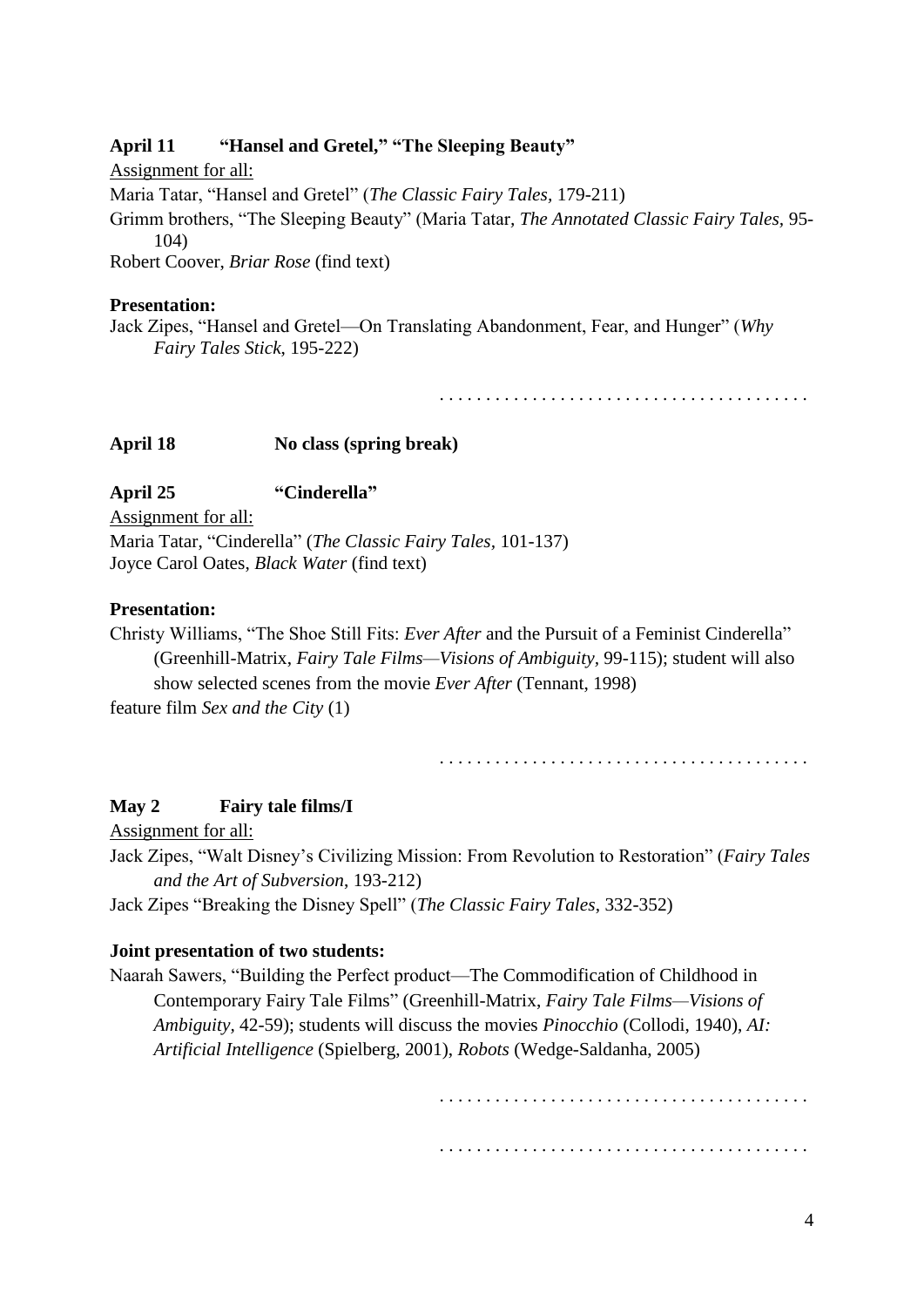## **April 11 "Hansel and Gretel," "The Sleeping Beauty"**

Assignment for all: Maria Tatar, "Hansel and Gretel" (*The Classic Fairy Tales,* 179-211) Grimm brothers, "The Sleeping Beauty" (Maria Tatar*, The Annotated Classic Fairy Tales,* 95- 104) Robert Coover, *Briar Rose* (find text)

#### **Presentation:**

Jack Zipes, "Hansel and Gretel—On Translating Abandonment, Fear, and Hunger" (*Why Fairy Tales Stick*, 195-222)

. . . . . . . . . . . . . . . . . . . . . . . . . . . . . . . . . . . . . . . .

### **April 18 No class (spring break)**

**April 25 "Cinderella"**

Assignment for all:

Maria Tatar, "Cinderella" (*The Classic Fairy Tales,* 101-137) Joyce Carol Oates, *Black Water* (find text)

### **Presentation:**

Christy Williams, "The Shoe Still Fits: *Ever After* and the Pursuit of a Feminist Cinderella" (Greenhill-Matrix, *Fairy Tale Films—Visions of Ambiguity,* 99-115); student will also show selected scenes from the movie *Ever After* (Tennant, 1998) feature film *Sex and the City* (1)

. . . . . . . . . . . . . . . . . . . . . . . . . . . . . . . . . . . . . . . .

#### **May 2 Fairy tale films/I**

Assignment for all:

Jack Zipes, "Walt Disney's Civilizing Mission: From Revolution to Restoration" (*Fairy Tales and the Art of Subversion*, 193-212)

Jack Zipes "Breaking the Disney Spell" (*The Classic Fairy Tales*, 332-352)

#### **Joint presentation of two students:**

Naarah Sawers, "Building the Perfect product—The Commodification of Childhood in Contemporary Fairy Tale Films" (Greenhill-Matrix, *Fairy Tale Films—Visions of Ambiguity,* 42-59); students will discuss the movies *Pinocchio* (Collodi, 1940), *AI: Artificial Intelligence* (Spielberg, 2001), *Robots* (Wedge-Saldanha, 2005)

. . . . . . . . . . . . . . . . . . . . . . . . . . . . . . . . . . . . . . . .

. . . . . . . . . . . . . . . . . . . . . . . . . . . . . . . . . . . . . . . .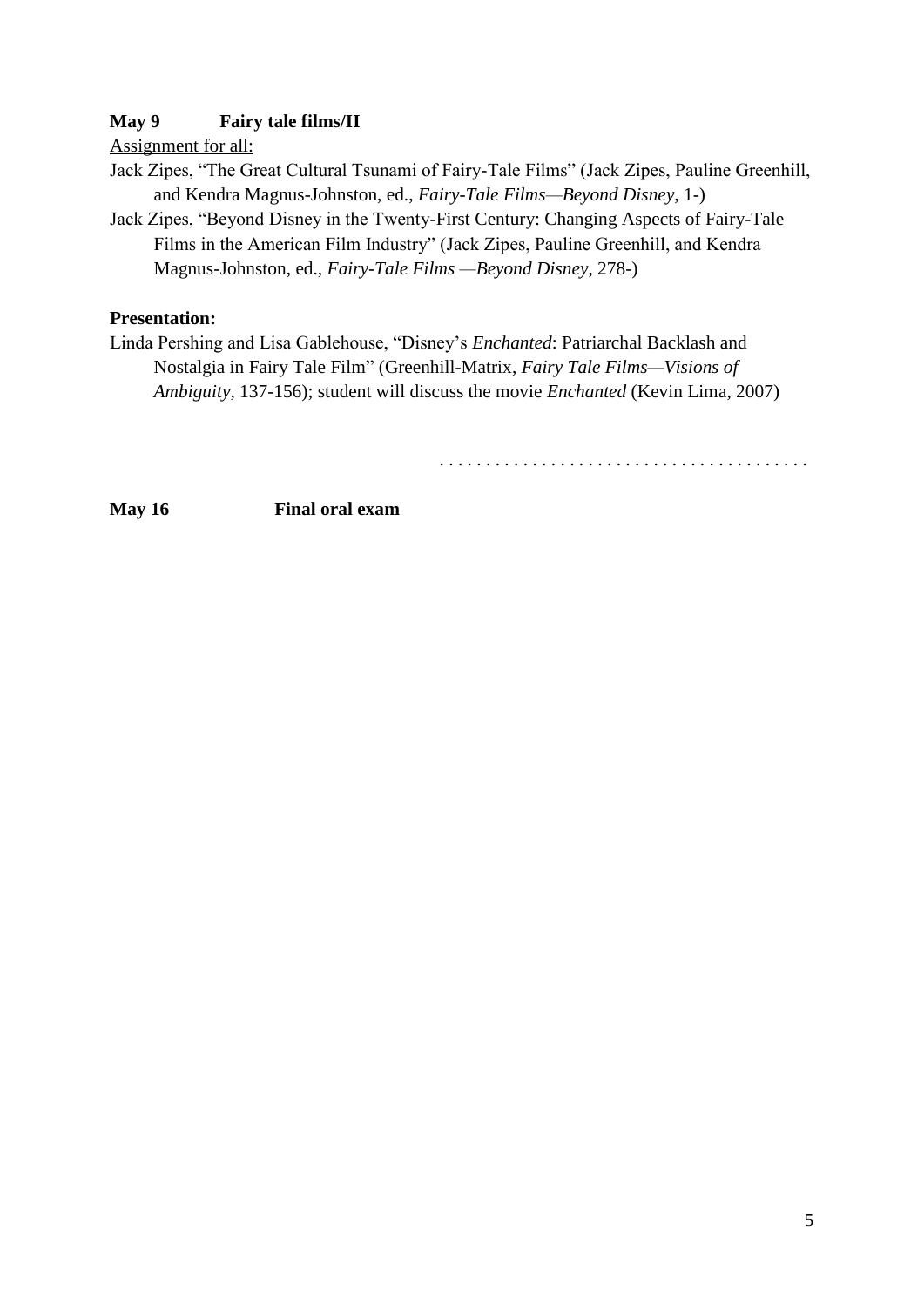# **May 9 Fairy tale films/II**

Assignment for all:

- Jack Zipes, "The Great Cultural Tsunami of Fairy-Tale Films" (Jack Zipes, Pauline Greenhill, and Kendra Magnus-Johnston, ed., *Fairy-Tale Films—Beyond Disney*, 1-)
- Jack Zipes, "Beyond Disney in the Twenty-First Century: Changing Aspects of Fairy-Tale Films in the American Film Industry" (Jack Zipes, Pauline Greenhill, and Kendra Magnus-Johnston, ed., *Fairy-Tale Films —Beyond Disney*, 278-)

# **Presentation:**

Linda Pershing and Lisa Gablehouse, "Disney's *Enchanted*: Patriarchal Backlash and Nostalgia in Fairy Tale Film" (Greenhill-Matrix, *Fairy Tale Films—Visions of Ambiguity,* 137-156); student will discuss the movie *Enchanted* (Kevin Lima, 2007)

. . . . . . . . . . . . . . . . . . . . . . . . . . . . . . . . . . . . . . . .

**May 16 Final oral exam**